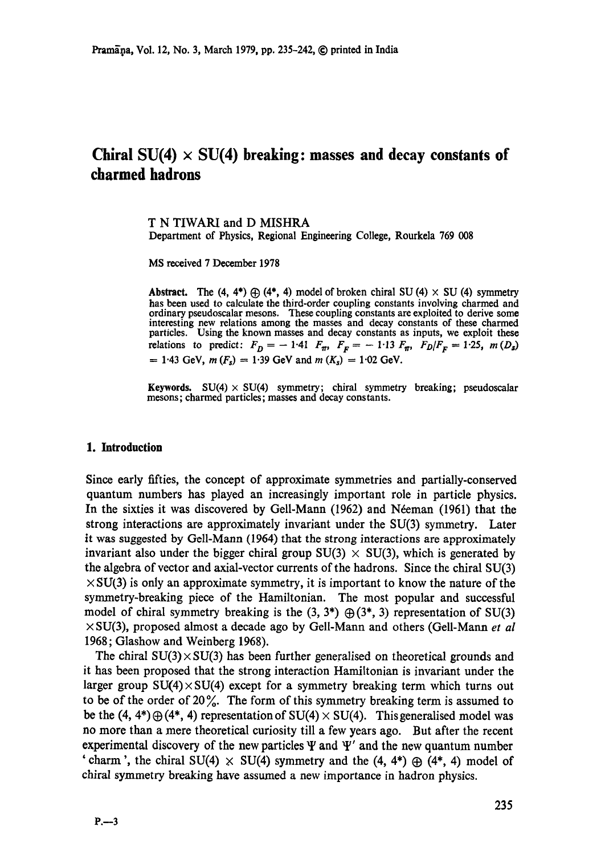# Chiral  $SU(4) \times SU(4)$  breaking: masses and decay constants of **charmed hadrons**

T N TIWARI and D MISHRA Department of Physics, Regional Engineering College, Rourkela 769 008

MS received 7 December 1978

Abstract. The (4, 4\*)  $\oplus$  (4\*, 4) model of broken chiral SU (4)  $\times$  SU (4) symmetry has been used to calculate the third-order coupling constants involving charmed and ordinary pseudoscalar mesons. These coupling constants are exploited to derive some interesting new relations among the masses and decay constants of these charmed particles. Using the known masses and decay constants as inputs, we exploit these relations to predict:  $F_D = -1.41$   $F_{\pi}$ ,  $F_F = -1.13$   $F_{\pi}$ ,  $F_D/F_F = 1.25$ ,  $m(D_s)$  $= 1.43$  GeV,  $m(F_s) = 1.39$  GeV and  $m(K_s) = 1.02$  GeV.

**Keywords.**  $SU(4) \times SU(4)$  symmetry; chiral symmetry breaking; pseudoscalar mesons; charmed particles; masses and decay constants.

#### **1. Introduction**

Since early fifties, the concept of approximate symmetries and partially-conserved quantum numbers has played an increasingly important role in particle physics. In the sixties it was discovered by Gell-Mann (1962) and Néeman (1961) that the strong interactions are approximately invariant under the SU(3) symmetry. Later it was suggested by Gell-Mann (1964) that the strong interactions are approximately invariant also under the bigger chiral group  $SU(3) \times SU(3)$ , which is generated by the algebra of vector and axial-vector currents of the hadrons. Since the chiral SU(3)  $\times$  SU(3) is only an approximate symmetry, it is important to know the nature of the symmetry-breaking piece of the Hamiltonian. The most popular and successful model of chiral symmetry breaking is the  $(3, 3^*)$   $\bigoplus (3^*, 3)$  representation of SU(3) x SU(3), proposed almost a decade ago by Gell-Mann and others (Gell-Mann *et al*  1968; Glashow and Weinberg 1968).

The chiral  $SU(3) \times SU(3)$  has been further generalised on theoretical grounds and it has been proposed that the strong interaction Hamiltonian is invariant under the larger group  $SU(4) \times SU(4)$  except for a symmetry breaking term which turns out to be of the order of  $20\%$ . The form of this symmetry breaking term is assumed to be the  $(4, 4^*)\oplus (4^*, 4)$  representation of SU(4)  $\times$  SU(4). This generalised model was no more than a mere theoretical curiosity till a few years ago. But after the recent experimental discovery of the new particles  $\Psi$  and  $\Psi'$  and the new quantum number 'charm', the chiral SU(4)  $\times$  SU(4) symmetry and the (4, 4\*)  $\oplus$  (4\*, 4) model of chiral symmetry breaking have assumed a new importance in hadron physics.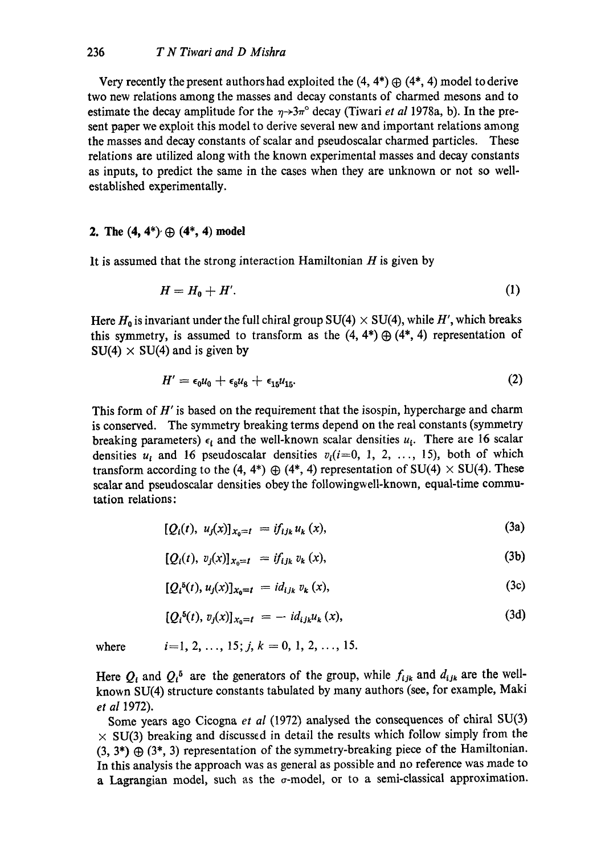Very recently the present authors had exploited the  $(4, 4^*) \oplus (4^*, 4)$  model to derive two new relations among the masses and decay constants of charmed mesons and to estimate the decay amplitude for the  $\eta \rightarrow 3\pi$ ° decay (Tiwari *et al* 1978a, b). In the present paper we exploit this model to derive several new and important relations among the masses and decay constants of scalar and pseudoscalar charmed particles. These relations are utilized along with the known experimental masses and decay constants as inputs, to predict the same in the cases when they are unknown or not so wellestablished experimentally.

## **2.** The  $(4, 4^*)$   $\oplus$   $(4^*, 4)$  model

It is assumed that the strong interaction Hamiltonian  $H$  is given by

$$
H = H_0 + H'.
$$
 (1)

Here  $H_0$  is invariant under the full chiral group SU(4)  $\times$  SU(4), while H', which breaks this symmetry, is assumed to transform as the  $(4, 4^*) \oplus (4^*, 4)$  representation of  $SU(4) \times SU(4)$  and is given by

$$
H' = \epsilon_0 u_0 + \epsilon_8 u_8 + \epsilon_{15} u_{15}.
$$
 (2)

This form of  $H'$  is based on the requirement that the isospin, hypercharge and charm is conserved. The symmetry breaking terms depend on the real constants (symmetry breaking parameters)  $\epsilon_i$  and the well-known scalar densities  $u_i$ . There ate 16 scalar densities  $u_i$  and 16 pseudoscalar densities  $v_i(i=0, 1, 2, \ldots, 15)$ , both of which transform according to the (4, 4\*)  $\oplus$  (4\*, 4) representation of SU(4)  $\times$  SU(4). These scalar and pseudoscalar densities obey the followingweU-known, equal-time commutation relations:

$$
[Q_i(t), u_j(x)]_{x_0 = t} = if_{ijk} u_k(x), \qquad (3a)
$$

$$
[Q_i(t), v_j(x)]_{x_0=t} = if_{ijk} v_k(x), \qquad (3b)
$$

$$
[Q_i^{\delta}(t), u_j(x)]_{x_0 = t} = id_{ijk} v_k(x), \qquad (3c)
$$

$$
[Q_i^{\delta}(t), v_j(x)]_{x_0 = t} = -id_{ijk}u_k(x), \qquad (3d)
$$

where  $i=1, 2, \ldots, 15; j, k = 0, 1, 2, \ldots, 15.$ 

Here  $Q_i$  and  $Q_i^5$  are the generators of the group, while  $f_{ijk}$  and  $d_{ijk}$  are the wellknown SU(4) structure constants tabulated by many authors (see, for example, Maki *et al* 1972).

Some years ago Cicogna *et al* (1972) analysed the consequences of chiral SU(3)  $\times$  SU(3) breaking and discussed in detail the results which follow simply from the  $(3, 3^*) \oplus (3^*, 3)$  representation of the symmetry-breaking piece of the Hamiltonian. In this analysis the approach was as general as possible and no reference was made to a Lagrangian model, such as the  $\sigma$ -model, or to a semi-classical approximation.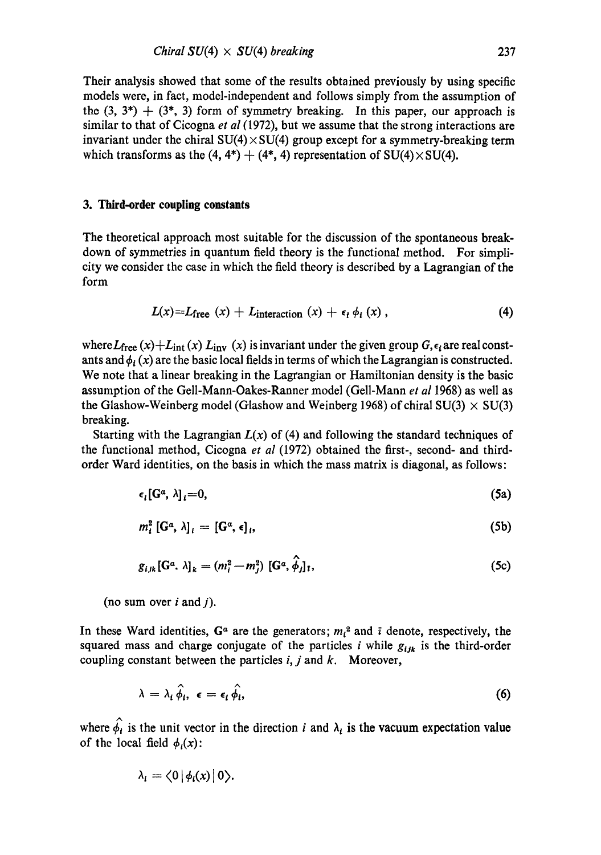Their analysis showed that some of the results obtained previously by using specific models were, in fact, model-independent and follows simply from the assumption of the  $(3, 3^*) + (3^*, 3)$  form of symmetry breaking. In this paper, our approach is similar to that of Cicogna *et al* (1972), but we assume that the strong interactions are invariant under the chiral  $SU(4) \times SU(4)$  group except for a symmetry-breaking term which transforms as the  $(4, 4^*) + (4^*, 4)$  representation of SU(4) $\times$ SU(4).

### **3. Third-order coupling constants**

The theoretical approach most suitable for the discussion of the spontaneous breakdown of symmetries in quantum field theory is the functional method. For simplicity we consider the case in which the field theory is described by a Lagrangian of the form

$$
L(x) = L_{\text{free}}(x) + L_{\text{interaction}}(x) + \epsilon_i \phi_i(x), \qquad (4)
$$

where  $L_{\text{free}}(x) + L_{\text{int}}(x) L_{\text{inv}}(x)$  is invariant under the given group  $G, \epsilon_i$  are real constants and  $\phi_i(x)$  are the basic local fields in terms of which the Lagrangian is constructed. We note that a linear breaking in the Lagrangian or Hamiltonian density is the basic assumption of the Gell-Mann-Oakes-Ranner model (Gell-Mann *et al* 1968) as well as the Glashow-Weinberg model (Glashow and Weinberg 1968) of chiral  $SU(3) \times SU(3)$ breaking.

Starting with the Lagrangian  $L(x)$  of (4) and following the standard techniques of the functional method, Cicogna *et al* (1972) obtained the first-, second- and thirdorder Ward identities, on the basis in which the mass matrix is diagonal, as follows:

$$
\epsilon_i[G^{\alpha},\lambda]_i=0,\tag{5a}
$$

$$
m_i^2 \left[ G^a, \lambda \right]_i = \left[ G^a, \epsilon \right]_i, \tag{5b}
$$

$$
g_{i,jk}[\mathbf{G}^a,\lambda]_k = (m_i^2 - m_j^2) [\mathbf{G}^a,\hat{\phi}_j]_1, \qquad (5c)
$$

(no sum over  $i$  and  $j$ ).

In these Ward identities,  $G^{\alpha}$  are the generators;  $m_i^2$  and  $\bar{i}$  denote, respectively, the squared mass and charge conjugate of the particles i while  $g_{ijk}$  is the third-order coupling constant between the particles  $i, j$  and  $k$ . Moreover,

$$
\lambda = \lambda_i \hat{\phi}_i, \ \epsilon = \epsilon_i \hat{\phi}_i, \tag{6}
$$

where  $\hat{\phi}_t$  is the unit vector in the direction i and  $\lambda_t$  is the vacuum expectation value of the local field  $\phi_i(x)$ :

$$
\lambda_i = \langle 0 | \phi_i(x) | 0 \rangle.
$$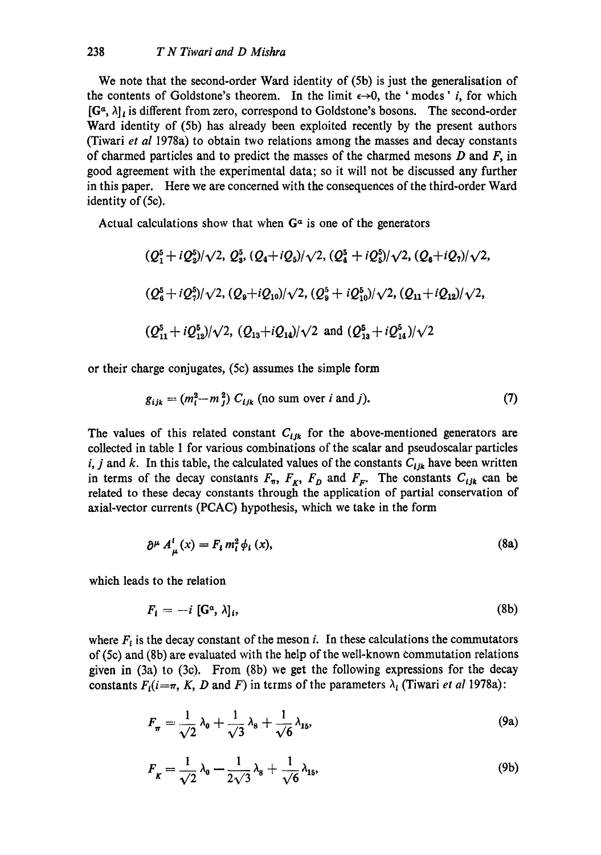We note that the second-order Ward identity of (5b) is just the generalisation of the contents of Goldstone's theorem. In the limit  $\epsilon \rightarrow 0$ , the 'modes' *i*, for which  $[G^{\alpha}, \lambda]_l$  is different from zero, correspond to Goldstone's bosons. The second-order Ward identity of (5b) has already been exploited recently by the present authors (Tiwari *et al* 1978a) to obtain two relations among the masses and decay constants of charmed particles and to predict the masses of the charmed mesons  $D$  and  $F$ , in good agreement with the experimental data; so it will not be discussed any further in this paper. Here we are concerned with the consequences of the third-order Ward identity of (5c).

Actual calculations show that when  $G<sup>\alpha</sup>$  is one of the generators

$$
\begin{array}{l} (Q_1^5 + iQ_2^5)/\sqrt{2}, \ Q_3^5, \ (Q_4 + iQ_5)/\sqrt{2}, \ (Q_4^5 + iQ_5^5)/\sqrt{2}, \ (Q_6 + iQ_7)/\sqrt{2}, \end{array}
$$
  

$$
\begin{array}{l} (Q_6^5 + iQ_7^5)/\sqrt{2}, \ (Q_9 + iQ_{10})/\sqrt{2}, \ (Q_9^5 + iQ_{10}^5)/\sqrt{2}, \ (Q_{11} + iQ_{12})/\sqrt{2}, \end{array}
$$
  

$$
\begin{array}{l} (Q_{11}^5 + iQ_{12}^5)/\sqrt{2}, \ (Q_{13} + iQ_{14})/\sqrt{2} \ \text{and} \ (Q_{13}^5 + iQ_{14}^5)/\sqrt{2} \end{array}
$$

or their charge conjugates, (5c) assumes the simple form

$$
g_{ijk} = (m_i^2 - m_j^2) C_{ijk} \text{ (no sum over } i \text{ and } j).
$$
 (7)

The values of this related constant  $C_{ijk}$  for the above-mentioned generators are collected in table 1 for various combinations of the scalar and pseudoscalar particles i, j and k. In this table, the calculated values of the constants  $C_{ijk}$  have been written in terms of the decay constants  $F_{\pi}$ ,  $F_{K}$ ,  $F_{D}$  and  $F_{F}$ . The constants  $C_{ijk}$  can be related to these decay constants through the application of partial conservation of axial-vector currents (PCAC) hypothesis, which we take in the form

$$
\partial^{\mu} A_{\mu}^{i}(x) = F_{i} m_{i}^{2} \phi_{i}(x), \qquad (8a)
$$

which leads to the relation

$$
F_i = -i \left[ \mathbf{G}^a, \lambda \right]_i,\tag{8b}
$$

where  $F_i$  is the decay constant of the meson i. In these calculations the commutators of (5c) and (Sb) are evaluated with the help of the well-known commutation relations given in (3a) to (3c). From (8b) we get the following expressions for the decay constants  $F_i(i=\pi, K, D$  and F) in terms of the parameters  $\lambda_i$  (Tiwari *et al* 1978a):

$$
F_{\pi} = \frac{1}{\sqrt{2}} \lambda_0 + \frac{1}{\sqrt{3}} \lambda_8 + \frac{1}{\sqrt{6}} \lambda_{15}, \tag{9a}
$$

$$
F_{\kappa} = \frac{1}{\sqrt{2}} \lambda_0 - \frac{1}{2\sqrt{3}} \lambda_8 + \frac{1}{\sqrt{6}} \lambda_{15},\tag{9b}
$$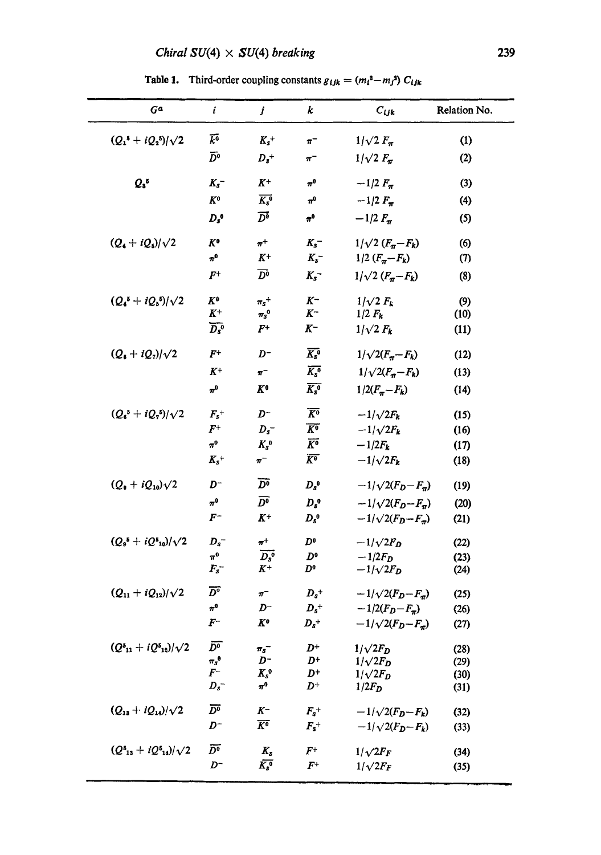Table 1. Third-order coupling constants  $g_{ijk} = (m_i^2 - m_j^2) C_{ijk}$ 

| $G^a$                             | i                             | j                                     | k                                 | $C_{ijk}$                      | Relation No. |
|-----------------------------------|-------------------------------|---------------------------------------|-----------------------------------|--------------------------------|--------------|
| $(Q_1^5 + iQ_2^5)/\sqrt{2}$       | $\bar{k}^0$                   | $K_s$ +                               | $\pi^-$                           | $1/\sqrt{2} F_{\pi}$           | (1)          |
|                                   | $\bar{D}^0$                   | $D_s$ <sup>+</sup>                    | $\pi^-$                           | $1/\sqrt{2} F_{\pi}$           | (2)          |
| $Q_3$ <sup>5</sup>                | $K_s^-$                       | $K^+$                                 | $\pi^0$                           | $-1/2 F_{\pi}$                 | (3)          |
|                                   | $K^0$                         | $\overline{K_s^0}$                    | $\pi^0$                           | $-1/2 F_{\pi}$                 | (4)          |
|                                   | $D_s$ <sup>o</sup>            | $\overline{D}{}^{\overline{\bullet}}$ | $\boldsymbol{n}^{\boldsymbol{0}}$ | $-1/2 F_{\pi}$                 | (5)          |
| $(Q_4 + iQ_5)/\sqrt{2}$           | $K^{\mathbf{o}}$              | $\pi^+$                               | $K_s^-$                           | $1/\sqrt{2} (F_{\pi} - F_{k})$ | (6)          |
|                                   | $\pi^0$                       | $K^+$                                 | $K_s^-$                           | $1/2 (F_{\pi} - F_{k})$        | (7)          |
|                                   | $\bm{F}^+$                    | $\overline{D}{}^{\bullet}$            | $K_s^-$                           | $1/\sqrt{2} (F_{\pi} - F_{k})$ | (8)          |
| $(Q_4^5 + iQ_5^5)/\sqrt{2}$       | $K^{\mathbf{0}}$              | $\pi_s$ <sup>+</sup>                  | $K^-$                             | $1/\sqrt{2} F_k$               | (9)          |
|                                   | $K^+$                         | $\pi_{\scriptscriptstyle S}^{\;\;0}$  | $K^-$                             | $1/2 F_k$                      | (10)         |
|                                   | $\overline{D_s}$ <sup>o</sup> | $F^+$                                 | $K^-$                             | $1/\sqrt{2} F_k$               | (11)         |
| $(Q_1 + iQ_2)/\sqrt{2}$           | $F^+$                         | $D^-$                                 | $\overline{K_s}$ <sup>0</sup>     | $1/\sqrt{2(F_n - F_k)}$        | (12)         |
|                                   | $K^+$                         | $\pi^-$                               | $\overline{K_{s}}$ <sup>0</sup>   | $1/\sqrt{2(F_n - F_k)}$        | (13)         |
|                                   | $\pi^0$                       | K۰                                    | $\overline{K_s^0}$                | $1/2(F_{\pi}-F_{k})$           | (14)         |
| $(Q_6{}^5 + iQ_7{}^5)/\sqrt{2}$   | $F_s^+$                       | $D^-$                                 | $\overline{K^0}$                  | $-1/\sqrt{2F_k}$               | (15)         |
|                                   | $\bm{F}^+$                    | $D_s^-$                               | $\overline{K^0}$                  | $-1/\sqrt{2F_k}$               | (16)         |
|                                   | $\pi^0$                       | $K_s^0$                               | $\overline{K^0}$                  | $-1/2F_k$                      | (17)         |
|                                   | $K_s^+$                       | $\pi^-$                               | $\overline{K^{\bullet}}$          | $-1/\sqrt{2F_k}$               | (18)         |
| $(Q_9 + iQ_{10})\sqrt{2}$         | D-                            | $\overline{D^0}$                      | $D_s^0$                           | $-1/\sqrt{2(F_D - F_{\pi})}$   | (19)         |
|                                   | $\pi^0$                       | $\overline{D^0}$                      | $D_s$ <sup>o</sup>                | $-1/\sqrt{2(F_D-F_{\pi})}$     | (20)         |
|                                   | $F^-$                         | $K^+$                                 | $D_{s}^{0}$                       | $-1/\sqrt{2(F_D-F_{\pi})}$     | (21)         |
| $(Q_9^5 + iQ_{10}^5)/\sqrt{2}$    | $D_s^-$                       | $\boldsymbol{\pi}^+$                  | $D^0$                             | $-1/\sqrt{2F_D}$               | (22)         |
|                                   | $\pi^0$                       | $\overline{D_s^0}$                    | $D^0$                             | $-1/2F_D$                      | (23)         |
|                                   | $F_s^-$                       | $K^+$                                 | $D^{\mathfrak o}$                 | $-1/\sqrt{2F_D}$               | (24)         |
| $(Q_{11}+iQ_{12})/\sqrt{2}$       | $\overline{D^{\circ}}$        | $\pi^-$                               | $\boldsymbol{D_{s}^+}$            | $-1/\sqrt{2(F_D-F_{\pi})}$     | (25)         |
|                                   | $\pi^0$                       | $D^-$                                 | $D_s^+$                           | $-1/2(F_D - F_{\pi})$          | (26)         |
|                                   | $\mathbf{F}^-$                | $K^{\rm o}$                           | $D_s^+$                           | $-1/\sqrt{2(F_D-F_{\pi})}$     | (27)         |
| $(Q_{11}^5 + iQ_{12}^5)/\sqrt{2}$ | $\bar{D^0}$                   | $\pi_s^-$                             | D+                                | $1/\sqrt{2F_D}$                | (28)         |
|                                   | $\pi_{s}^{\,0}$               | D-                                    | $D^+$                             | $1/\sqrt{2F_D}$                | (29)         |
|                                   | $\bm{F}^-$                    | $K_s$ <sup>0</sup>                    | $D^+$                             | $1/\sqrt{2F_D}$                | (30)         |
|                                   | $D_s^-$                       | $\pi^0$                               | $D^+$                             | $1/2F_D$                       | (31)         |
| $(Q_{13}+iQ_{14})/\sqrt{2}$       | $\overline{D^0}$              | $K^-$                                 | $F_s^+$                           | $-1/\sqrt{2(F_D-F_k)}$         | (32)         |
|                                   | D-                            | $\overline{K^0}$                      | $F_{s}$ <sup>+</sup>              | $-1/\sqrt{2(F_D-F_k)}$         | (33)         |
| $(Q_{13} + iQ_{14})/\sqrt{2}$     | $\overline{D^0}$              | $K_{s}$                               | $_{F^+}$                          | $1/\sqrt{2F_F}$                | (34)         |
|                                   | $D^-$                         | $\bar{K_s^0}$                         | $_{F^+}$                          | $1/\sqrt{2F_F}$                | (35)         |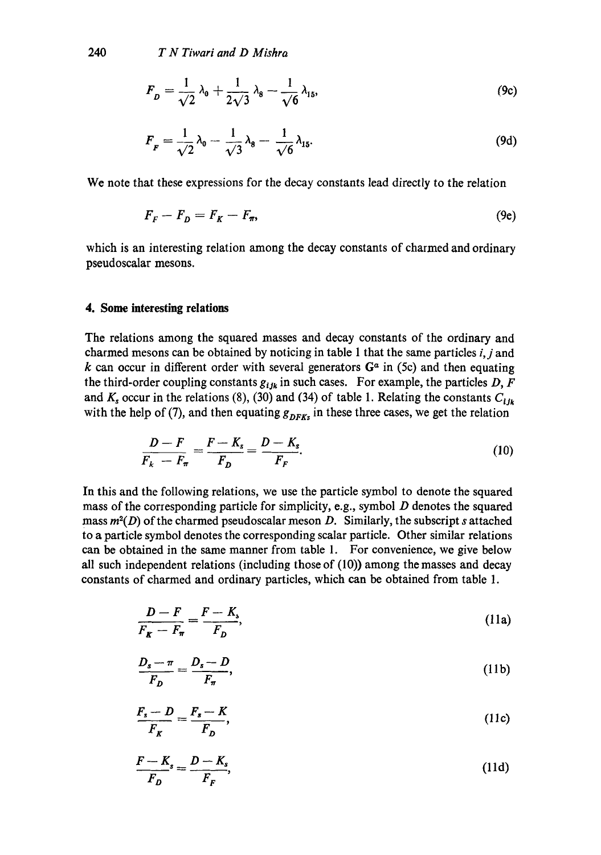$$
F_{D} = \frac{1}{\sqrt{2}} \lambda_0 + \frac{1}{2\sqrt{3}} \lambda_8 - \frac{1}{\sqrt{6}} \lambda_{15},
$$
 (9c)

$$
F_F = \frac{1}{\sqrt{2}} \lambda_0 - \frac{1}{\sqrt{3}} \lambda_8 - \frac{1}{\sqrt{6}} \lambda_{15}.
$$
 (9d)

We note that these expressions for the decay constants lead directly to the relation

$$
F_F - F_D = F_K - F_\pi,\tag{9e}
$$

which is an interesting relation among the decay constants of charmed and ordinary pseudoscalar mesons.

#### **4. Some interesting relations**

The relations among the squared masses and decay constants of the ordinary and charmed mesons can be obtained by noticing in table 1 that the same particles *i,j* and k can occur in different order with several generators  $G<sup>a</sup>$  in (5c) and then equating the third-order coupling constants  $g_{ijk}$  in such cases. For example, the particles D, F and  $K_s$  occur in the relations (8), (30) and (34) of table 1. Relating the constants  $C_{ijk}$ with the help of (7), and then equating  $g_{DFKs}$  in these three cases, we get the relation

$$
\frac{D-F}{F_k-F_\pi}=\frac{F-K_s}{F_D}=\frac{D-K_s}{F_F}.\tag{10}
$$

In this and the following relations, we use the particle symbol to denote the squared mass of the corresponding particle for simplicity, e.g., symbol  $D$  denotes the squared *mass m<sup>2</sup>(D)* of the charmed pseudoscalar meson D. Similarly, the subscript s attached to a particle symbol denotes the corresponding scalar particle. Other similar relations can be obtained in the same manner from table 1. For convenience, we give below all such independent relations (including those of (10)) among the masses and decay constants of charmed and ordinary particles, which can be obtained from table 1.

$$
\frac{D-F}{F_K-F_\pi} = \frac{F-K_s}{F_D},\tag{11a}
$$

$$
\frac{D_s - \pi}{F_D} = \frac{D_s - D}{F_\pi},\tag{11b}
$$

$$
\frac{F_s - D}{F_K} = \frac{F_s - K}{F_D},\tag{11c}
$$

$$
\frac{F-K_s}{F_D} = \frac{D-K_s}{F_F},\tag{11d}
$$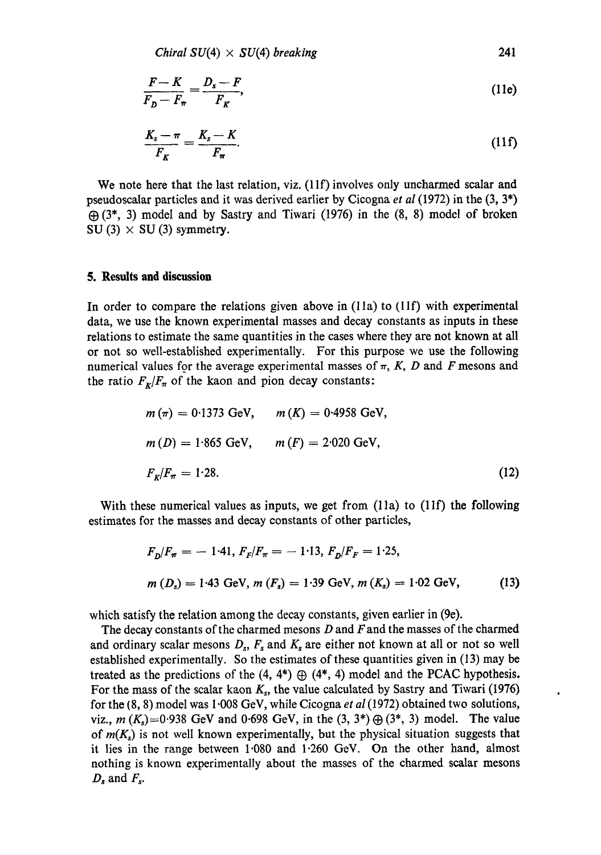$$
Chiral SU(4) \times SU(4) breaking
$$
 241

$$
\frac{F-K}{F_D-F_\pi} = \frac{D_s-F}{F_K},\tag{11e}
$$

$$
\frac{K_s - \pi}{F_K} = \frac{K_s - K}{F_\pi}.\tag{11f}
$$

We note here that the last relation, viz. (11f) involves only uncharmed scalar and pseudoscalar particles and it was derived earlier by Cicogna *et al* (1972) in the (3, 3\*)  $\bigoplus$  (3<sup>\*</sup>, 3) model and by Sastry and Tiwari (1976) in the (8, 8) model of broken SU (3)  $\times$  SU (3) symmetry.

#### **5. Results and discussion**

In order to compare the relations given above in  $(11a)$  to  $(11f)$  with experimental data, we use the known experimental masses and decay constants as inputs in these relations to estimate the same quantities in the cases where they are not known at all or not so well-established experimentally. For this purpose we use the following numerical values for the average experimental masses of  $\pi$ , K, D and F mesons and the ratio  $F_K/F_\pi$  of the kaon and pion decay constants:

$$
m(\pi) = 0.1373 \text{ GeV}, \qquad m(K) = 0.4958 \text{ GeV},
$$
  
\n
$$
m(D) = 1.865 \text{ GeV}, \qquad m(F) = 2.020 \text{ GeV},
$$
  
\n
$$
F_K/F_{\pi} = 1.28.
$$
 (12)

With these numerical values as inputs, we get from (11a) to (11f) the following estimates for the masses and decay constants of other particles,

$$
F_D/F_{\pi} = -1.41, F_F/F_{\pi} = -1.13, F_D/F_F = 1.25,
$$
  
\n
$$
m(D_s) = 1.43 \text{ GeV}, m(F_s) = 1.39 \text{ GeV}, m(K_s) = 1.02 \text{ GeV},
$$
\n(13)

ä

which satisfy the relation among the decay constants, given earlier in (9e).

The decay constants of the charmed mesons  $D$  and  $F$  and the masses of the charmed and ordinary scalar mesons  $D_s$ ,  $F_s$  and  $K_s$  are either not known at all or not so well established experimentally. So the estimates of these quantities given in (13) may be treated as the predictions of the  $(4, 4^*) \oplus (4^*, 4)$  model and the PCAC hypothesis. For the mass of the scalar kaon  $K_s$ , the value calculated by Sastry and Tiwari (1976) for the (8, 8) model was 1.008 GeV, while Cicogna *et al* (1972) obtained two solutions, viz.,  $m(K_s) = 0.938$  GeV and 0.698 GeV, in the  $(3, 3^*) \oplus (3^*, 3)$  model. The value of  $m(K<sub>s</sub>)$  is not well known experimentally, but the physical situation suggests that it lies in the range between 1-080 and 1.260 GeV. On the other hand, almost nothing is known experimentally about the masses of the charmed scalar mesons  $D_s$  and  $F_s$ .